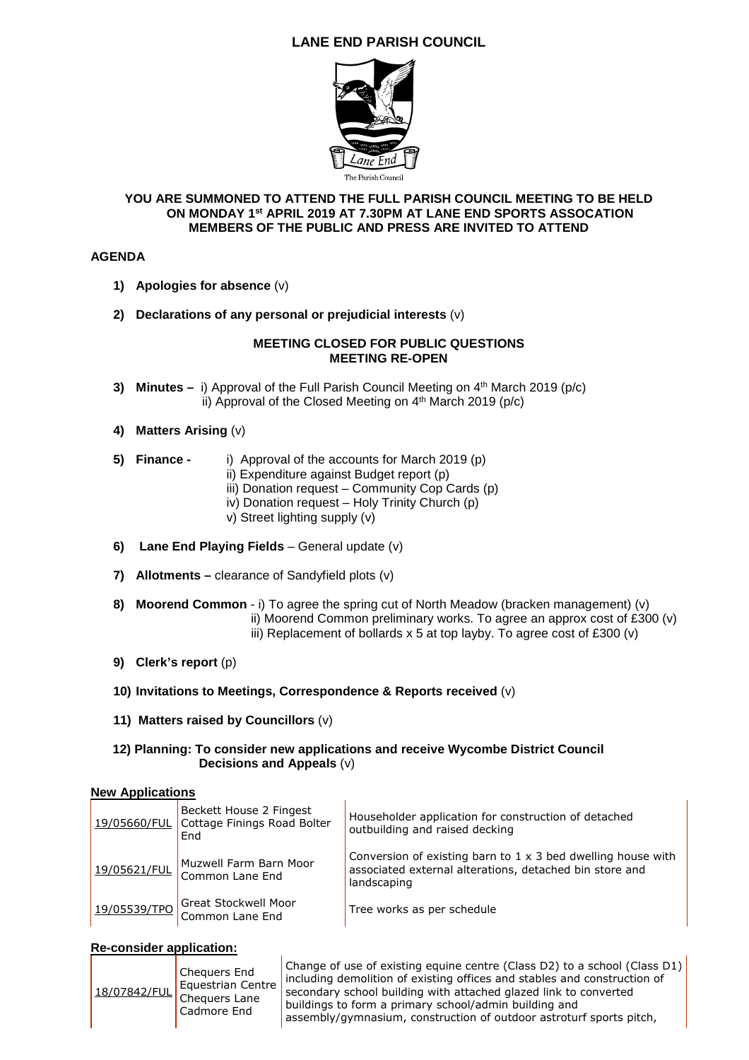# **LANE END PARISH COUNCIL**



#### **YOU ARE SUMMONED TO ATTEND THE FULL PARISH COUNCIL MEETING TO BE HELD ON MONDAY 1st APRIL 2019 AT 7.30PM AT LANE END SPORTS ASSOCATION MEMBERS OF THE PUBLIC AND PRESS ARE INVITED TO ATTEND**

# **AGENDA**

- **1) Apologies for absence** (v)
- **2) Declarations of any personal or prejudicial interests** (v)

#### **MEETING CLOSED FOR PUBLIC QUESTIONS MEETING RE-OPEN**

- **3) Minutes –** i) Approval of the Full Parish Council Meeting on 4<sup>th</sup> March 2019 (p/c) ii) Approval of the Closed Meeting on 4<sup>th</sup> March 2019 (p/c)
- **4) Matters Arising** (v)
- **5) Finance** i) Approval of the accounts for March 2019 (p)
	- ii) Expenditure against Budget report (p)
	- iii) Donation request Community Cop Cards (p)
	- iv) Donation request Holy Trinity Church (p)
	- v) Street lighting supply (v)
- **6) Lane End Playing Fields** General update (v)
- **7) Allotments** clearance of Sandyfield plots (v)
- **8) Moorend Common** i) To agree the spring cut of North Meadow (bracken management) (v) ii) Moorend Common preliminary works. To agree an approx cost of £300 (v) iii) Replacement of bollards x 5 at top layby. To agree cost of £300 (v)
- **9) Clerk's report** (p)
- **10) Invitations to Meetings, Correspondence & Reports received** (v)
- **11) Matters raised by Councillors** (v)

## **12) Planning: To consider new applications and receive Wycombe District Council Decisions and Appeals** (v)

## **New Applications**

| 19/05660/FUL | Beckett House 2 Fingest<br>Cottage Finings Road Bolter<br>End | Householder application for construction of detached<br>outbuilding and raised decking                                                        |
|--------------|---------------------------------------------------------------|-----------------------------------------------------------------------------------------------------------------------------------------------|
| 19/05621/FUL | Muzwell Farm Barn Moor<br>Common Lane End                     | Conversion of existing barn to $1 \times 3$ bed dwelling house with<br>associated external alterations, detached bin store and<br>landscaping |
| 19/05539/TPO | Great Stockwell Moor<br>Common Lane End                       | Tree works as per schedule                                                                                                                    |

# **Re-consider application:**